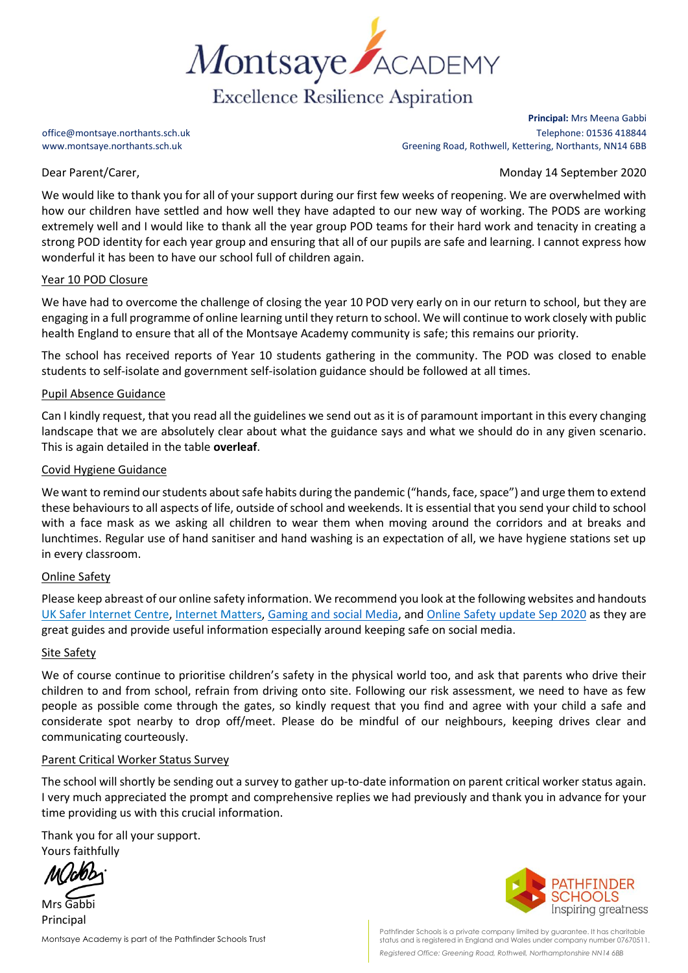

**Principal:** Mrs Meena Gabbi office@montsaye.northants.sch.uk Telephone: 01536 418844 www.montsaye.northants.sch.uk Greening Road, Rothwell, Kettering, Northants, NN14 6BB

Dear Parent/Carer, Monday 14 September 2020

We would like to thank you for all of your support during our first few weeks of reopening. We are overwhelmed with how our children have settled and how well they have adapted to our new way of working. The PODS are working extremely well and I would like to thank all the year group POD teams for their hard work and tenacity in creating a strong POD identity for each year group and ensuring that all of our pupils are safe and learning. I cannot express how wonderful it has been to have our school full of children again.

## Year 10 POD Closure

We have had to overcome the challenge of closing the year 10 POD very early on in our return to school, but they are engaging in a full programme of online learning until they return to school. We will continue to work closely with public health England to ensure that all of the Montsaye Academy community is safe; this remains our priority.

The school has received reports of Year 10 students gathering in the community. The POD was closed to enable students to self-isolate and government self-isolation guidance should be followed at all times.

### Pupil Absence Guidance

Can I kindly request, that you read all the guidelines we send out as it is of paramount important in this every changing landscape that we are absolutely clear about what the guidance says and what we should do in any given scenario. This is again detailed in the table **overleaf**.

### Covid Hygiene Guidance

We want to remind our students about safe habits during the pandemic ("hands, face, space") and urge them to extend these behaviours to all aspects of life, outside of school and weekends. It is essential that you send your child to school with a face mask as we asking all children to wear them when moving around the corridors and at breaks and lunchtimes. Regular use of hand sanitiser and hand washing is an expectation of all, we have hygiene stations set up in every classroom.

## Online Safety

Please keep abreast of our online safety information. We recommend you look at the following websites and handouts [UK Safer Internet Centre,](https://www.saferinternet.org.uk/advice-centre/social-media-guides) [Internet Matters,](https://www.internetmatters.org/report-issue/) [Gaming and social Media,](https://www.montsaye.northants.sch.uk/assets/Uploads/Parents-Online-safety-gaming-and-social-media-Sep-2020.pdf) and [Online Safety update Sep 2020](https://www.montsaye.northants.sch.uk/assets/Uploads/Online-Parent-hand-out-Sep-2020.pdf) as they are great guides and provide useful information especially around keeping safe on social media.

#### Site Safety

We of course continue to prioritise children's safety in the physical world too, and ask that parents who drive their children to and from school, refrain from driving onto site. Following our risk assessment, we need to have as few people as possible come through the gates, so kindly request that you find and agree with your child a safe and considerate spot nearby to drop off/meet. Please do be mindful of our neighbours, keeping drives clear and communicating courteously.

#### Parent Critical Worker Status Survey

The school will shortly be sending out a survey to gather up-to-date information on parent critical worker status again. I very much appreciated the prompt and comprehensive replies we had previously and thank you in advance for your time providing us with this crucial information.

Thank you for all your support. Yours faithfully

Mrs Gabbi Principal

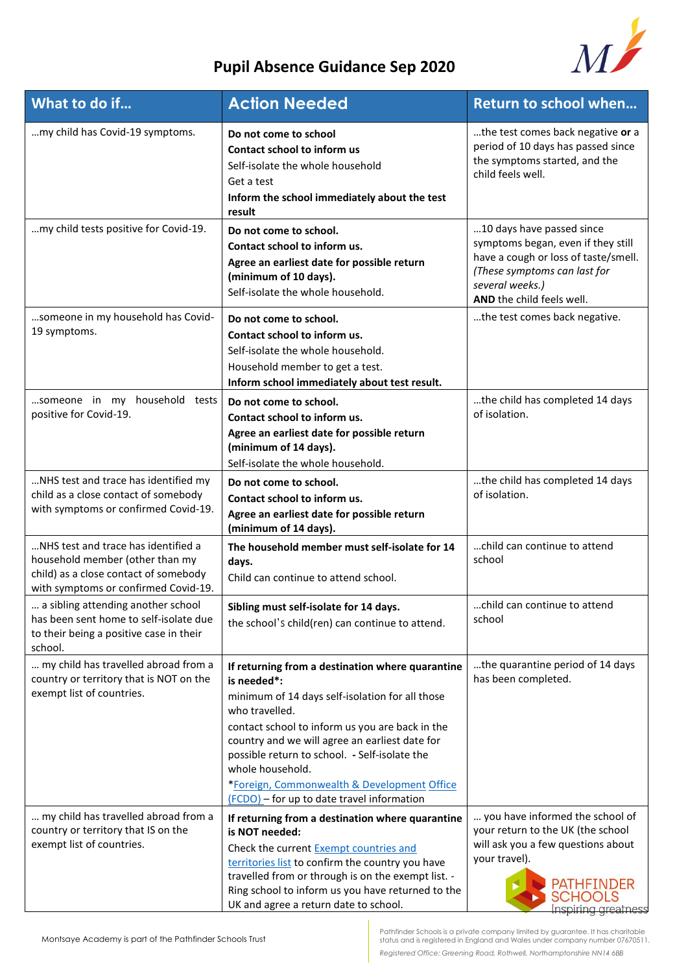

# **Pupil Absence Guidance Sep 2020**

| What to do if                                                                                                                                           | <b>Action Needed</b>                                                                                                                                                                                                                                                                                                                                                                                        | <b>Return to school when</b>                                                                                                                                                            |
|---------------------------------------------------------------------------------------------------------------------------------------------------------|-------------------------------------------------------------------------------------------------------------------------------------------------------------------------------------------------------------------------------------------------------------------------------------------------------------------------------------------------------------------------------------------------------------|-----------------------------------------------------------------------------------------------------------------------------------------------------------------------------------------|
| my child has Covid-19 symptoms.                                                                                                                         | Do not come to school<br>Contact school to inform us<br>Self-isolate the whole household<br>Get a test<br>Inform the school immediately about the test<br>result                                                                                                                                                                                                                                            | the test comes back negative or a<br>period of 10 days has passed since<br>the symptoms started, and the<br>child feels well.                                                           |
| my child tests positive for Covid-19.                                                                                                                   | Do not come to school.<br>Contact school to inform us.<br>Agree an earliest date for possible return<br>(minimum of 10 days).<br>Self-isolate the whole household.                                                                                                                                                                                                                                          | 10 days have passed since<br>symptoms began, even if they still<br>have a cough or loss of taste/smell.<br>(These symptoms can last for<br>several weeks.)<br>AND the child feels well. |
| someone in my household has Covid-<br>19 symptoms.                                                                                                      | Do not come to school.<br>Contact school to inform us.<br>Self-isolate the whole household.<br>Household member to get a test.<br>Inform school immediately about test result.                                                                                                                                                                                                                              | the test comes back negative.                                                                                                                                                           |
| someone in my household tests<br>positive for Covid-19.                                                                                                 | Do not come to school.<br>Contact school to inform us.<br>Agree an earliest date for possible return<br>(minimum of 14 days).<br>Self-isolate the whole household.                                                                                                                                                                                                                                          | the child has completed 14 days<br>of isolation.                                                                                                                                        |
| NHS test and trace has identified my<br>child as a close contact of somebody<br>with symptoms or confirmed Covid-19.                                    | Do not come to school.<br>Contact school to inform us.<br>Agree an earliest date for possible return<br>(minimum of 14 days).                                                                                                                                                                                                                                                                               | the child has completed 14 days<br>of isolation.                                                                                                                                        |
| NHS test and trace has identified a<br>household member (other than my<br>child) as a close contact of somebody<br>with symptoms or confirmed Covid-19. | The household member must self-isolate for 14<br>days.<br>Child can continue to attend school.                                                                                                                                                                                                                                                                                                              | child can continue to attend<br>school                                                                                                                                                  |
| a sibling attending another school<br>has been sent home to self-isolate due<br>to their being a positive case in their<br>school.                      | Sibling must self-isolate for 14 days.<br>the school's child(ren) can continue to attend.                                                                                                                                                                                                                                                                                                                   | child can continue to attend<br>school                                                                                                                                                  |
| my child has travelled abroad from a<br>country or territory that is NOT on the<br>exempt list of countries.                                            | If returning from a destination where quarantine<br>is needed*:<br>minimum of 14 days self-isolation for all those<br>who travelled.<br>contact school to inform us you are back in the<br>country and we will agree an earliest date for<br>possible return to school. - Self-isolate the<br>whole household.<br>*Foreign, Commonwealth & Development Office<br>(FCDO) - for up to date travel information | the quarantine period of 14 days<br>has been completed.                                                                                                                                 |
| my child has travelled abroad from a<br>country or territory that IS on the<br>exempt list of countries.                                                | If returning from a destination where quarantine<br>is NOT needed:<br>Check the current Exempt countries and<br>territories list to confirm the country you have<br>travelled from or through is on the exempt list. -<br>Ring school to inform us you have returned to the<br>UK and agree a return date to school.                                                                                        | you have informed the school of<br>your return to the UK (the school<br>will ask you a few questions about<br>your travel).<br>PATHFINDER<br><b>SCHOOLS</b><br>Inspiring greatness      |

Pathfinder Schools is a private company limited by guarantee. It has charitable status and is registered in England and Wales under company number 07670511. *Registered Office: Greening Road, Rothwell, Northamptonshire NN14 6BB*